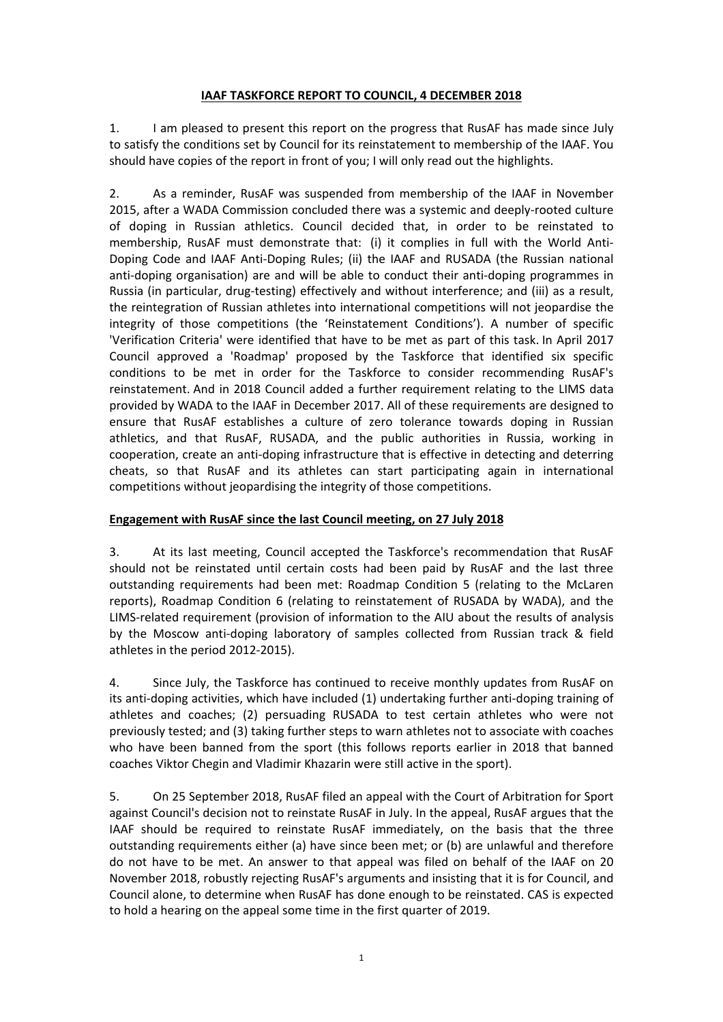### **IAAF TASKFORCE REPORT TO COUNCIL, 4 DECEMBER 2018**

1. I am pleased to present this report on the progress that RusAF has made since July to satisfy the conditions set by Council for its reinstatement to membership of the IAAF. You should have copies of the report in front of you; I will only read out the highlights.

2. As a reminder, RusAF was suspended from membership of the IAAF in November 2015, after a WADA Commission concluded there was a systemic and deeply-rooted culture of doping in Russian athletics. Council decided that, in order to be reinstated to membership, RusAF must demonstrate that: (i) it complies in full with the World Anti-Doping Code and IAAF Anti-Doping Rules; (ii) the IAAF and RUSADA (the Russian national anti-doping organisation) are and will be able to conduct their anti-doping programmes in Russia (in particular, drug-testing) effectively and without interference; and (iii) as a result, the reintegration of Russian athletes into international competitions will not jeopardise the integrity of those competitions (the 'Reinstatement Conditions'). A number of specific 'Verification Criteria' were identified that have to be met as part of this task. In April 2017 Council approved a 'Roadmap' proposed by the Taskforce that identified six specific conditions to be met in order for the Taskforce to consider recommending RusAF's reinstatement. And in 2018 Council added a further requirement relating to the LIMS data provided by WADA to the IAAF in December 2017. All of these requirements are designed to ensure that RusAF establishes a culture of zero tolerance towards doping in Russian athletics, and that RusAF, RUSADA, and the public authorities in Russia, working in cooperation, create an anti-doping infrastructure that is effective in detecting and deterring cheats, so that RusAF and its athletes can start participating again in international competitions without jeopardising the integrity of those competitions.

## **Engagement with RusAF since the last Council meeting, on 27 July 2018**

3. At its last meeting, Council accepted the Taskforce's recommendation that RusAF should not be reinstated until certain costs had been paid by RusAF and the last three outstanding requirements had been met: Roadmap Condition 5 (relating to the McLaren reports), Roadmap Condition 6 (relating to reinstatement of RUSADA by WADA), and the LIMS-related requirement (provision of information to the AIU about the results of analysis by the Moscow anti-doping laboratory of samples collected from Russian track & field athletes in the period 2012-2015).

4. Since July, the Taskforce has continued to receive monthly updates from RusAF on its anti-doping activities, which have included (1) undertaking further anti-doping training of athletes and coaches; (2) persuading RUSADA to test certain athletes who were not previously tested; and (3) taking further steps to warn athletes not to associate with coaches who have been banned from the sport (this follows reports earlier in 2018 that banned coaches Viktor Chegin and Vladimir Khazarin were still active in the sport).

5. On 25 September 2018, RusAF filed an appeal with the Court of Arbitration for Sport against Council's decision not to reinstate RusAF in July. In the appeal, RusAF argues that the IAAF should be required to reinstate RusAF immediately, on the basis that the three outstanding requirements either (a) have since been met; or (b) are unlawful and therefore do not have to be met. An answer to that appeal was filed on behalf of the IAAF on 20 November 2018, robustly rejecting RusAF's arguments and insisting that it is for Council, and Council alone, to determine when RusAF has done enough to be reinstated. CAS is expected to hold a hearing on the appeal some time in the first quarter of 2019.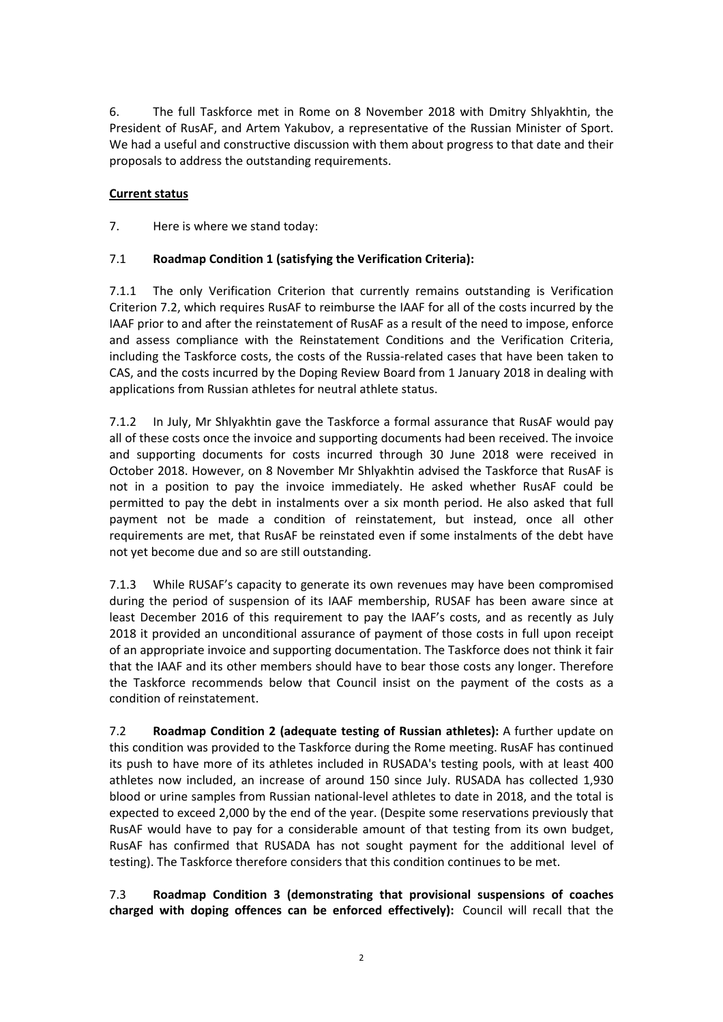6. The full Taskforce met in Rome on 8 November 2018 with Dmitry Shlyakhtin, the President of RusAF, and Artem Yakubov, a representative of the Russian Minister of Sport. We had a useful and constructive discussion with them about progress to that date and their proposals to address the outstanding requirements.

## **Current status**

7. Here is where we stand today:

# 7.1 **Roadmap Condition 1 (satisfying the Verification Criteria):**

7.1.1 The only Verification Criterion that currently remains outstanding is Verification Criterion 7.2, which requires RusAF to reimburse the IAAF for all of the costs incurred by the IAAF prior to and after the reinstatement of RusAF as a result of the need to impose, enforce and assess compliance with the Reinstatement Conditions and the Verification Criteria, including the Taskforce costs, the costs of the Russia-related cases that have been taken to CAS, and the costs incurred by the Doping Review Board from 1 January 2018 in dealing with applications from Russian athletes for neutral athlete status.

7.1.2 In July, Mr Shlyakhtin gave the Taskforce a formal assurance that RusAF would pay all of these costs once the invoice and supporting documents had been received. The invoice and supporting documents for costs incurred through 30 June 2018 were received in October 2018. However, on 8 November Mr Shlyakhtin advised the Taskforce that RusAF is not in a position to pay the invoice immediately. He asked whether RusAF could be permitted to pay the debt in instalments over a six month period. He also asked that full payment not be made a condition of reinstatement, but instead, once all other requirements are met, that RusAF be reinstated even if some instalments of the debt have not vet become due and so are still outstanding.

7.1.3 While RUSAF's capacity to generate its own revenues may have been compromised during the period of suspension of its IAAF membership, RUSAF has been aware since at least December 2016 of this requirement to pay the IAAF's costs, and as recently as July 2018 it provided an unconditional assurance of payment of those costs in full upon receipt of an appropriate invoice and supporting documentation. The Taskforce does not think it fair that the IAAF and its other members should have to bear those costs any longer. Therefore the Taskforce recommends below that Council insist on the payment of the costs as a condition of reinstatement.

**7.2 Roadmap Condition 2 (adequate testing of Russian athletes):** A further update on this condition was provided to the Taskforce during the Rome meeting. RusAF has continued its push to have more of its athletes included in RUSADA's testing pools, with at least 400 athletes now included, an increase of around 150 since July. RUSADA has collected 1,930 blood or urine samples from Russian national-level athletes to date in 2018, and the total is expected to exceed 2,000 by the end of the year. (Despite some reservations previously that RusAF would have to pay for a considerable amount of that testing from its own budget, RusAF has confirmed that RUSADA has not sought payment for the additional level of testing). The Taskforce therefore considers that this condition continues to be met.

7.3 **Roadmap Condition 3 (demonstrating that provisional suspensions of coaches charged with doping offences can be enforced effectively):** Council will recall that the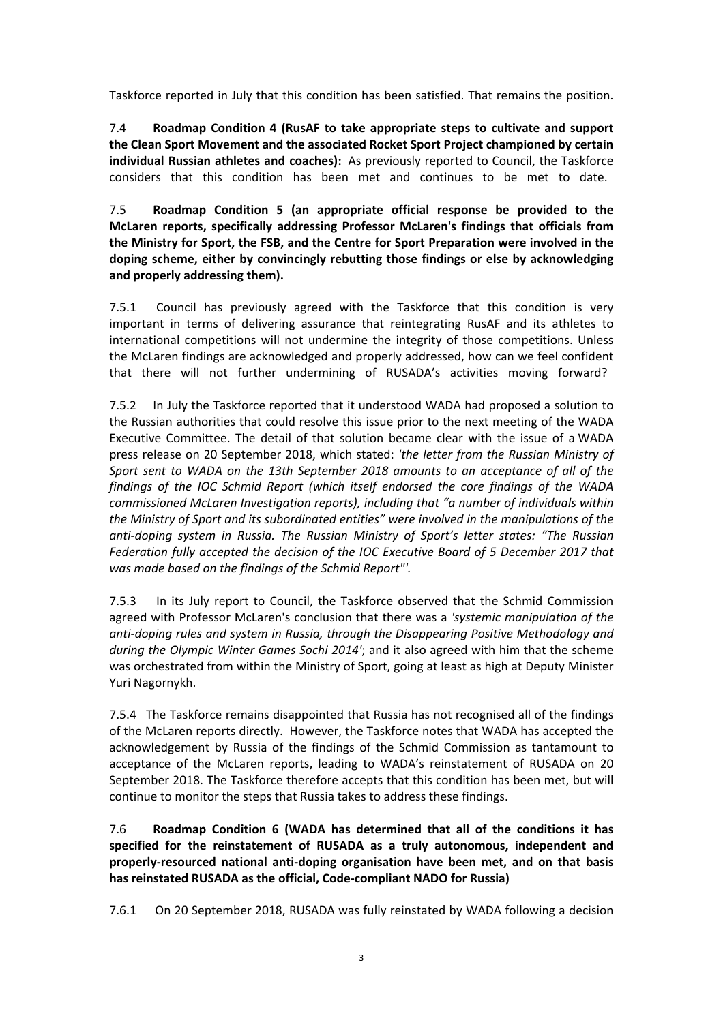Taskforce reported in July that this condition has been satisfied. That remains the position.

7.4 **Roadmap Condition 4 (RusAF to take appropriate steps to cultivate and support** the Clean Sport Movement and the associated Rocket Sport Project championed by certain **individual Russian athletes and coaches):** As previously reported to Council, the Taskforce considers that this condition has been met and continues to be met to date.

7.5 **Roadmap Condition 5 (an appropriate official response be provided to the McLaren reports, specifically addressing Professor McLaren's findings that officials from** the Ministry for Sport, the FSB, and the Centre for Sport Preparation were involved in the doping scheme, either by convincingly rebutting those findings or else by acknowledging and properly addressing them).

7.5.1 Council has previously agreed with the Taskforce that this condition is very important in terms of delivering assurance that reintegrating RusAF and its athletes to international competitions will not undermine the integrity of those competitions. Unless the McLaren findings are acknowledged and properly addressed, how can we feel confident that there will not further undermining of RUSADA's activities moving forward?

7.5.2 In July the Taskforce reported that it understood WADA had proposed a solution to the Russian authorities that could resolve this issue prior to the next meeting of the WADA Executive Committee. The detail of that solution became clear with the issue of a WADA press release on 20 September 2018, which stated: 'the letter from the Russian Ministry of Sport sent to WADA on the 13th September 2018 amounts to an acceptance of all of the *findings* of the *IOC Schmid Report* (which itself endorsed the core findings of the WADA *commissioned McLaren Investigation reports), including that "a number of individuals within* the Ministry of Sport and its subordinated entities" were involved in the manipulations of the *anti-doping system in Russia. The Russian Ministry of Sport's letter states: "The Russian* Federation fully accepted the decision of the IOC Executive Board of 5 December 2017 that was made based on the findings of the Schmid Report"'.

7.5.3 In its July report to Council, the Taskforce observed that the Schmid Commission agreed with Professor McLaren's conclusion that there was a 'systemic manipulation of the anti-doping rules and system in Russia, through the Disappearing Positive Methodology and *during the Olympic Winter Games Sochi 2014'*; and it also agreed with him that the scheme was orchestrated from within the Ministry of Sport, going at least as high at Deputy Minister Yuri Nagornykh.

7.5.4 The Taskforce remains disappointed that Russia has not recognised all of the findings of the McLaren reports directly. However, the Taskforce notes that WADA has accepted the acknowledgement by Russia of the findings of the Schmid Commission as tantamount to acceptance of the McLaren reports, leading to WADA's reinstatement of RUSADA on 20 September 2018. The Taskforce therefore accepts that this condition has been met, but will continue to monitor the steps that Russia takes to address these findings.

7.6 **Roadmap Condition 6 (WADA has determined that all of the conditions it has** specified for the reinstatement of RUSADA as a truly autonomous, independent and properly-resourced national anti-doping organisation have been met, and on that basis has reinstated RUSADA as the official, Code-compliant NADO for Russia)

7.6.1 On 20 September 2018, RUSADA was fully reinstated by WADA following a decision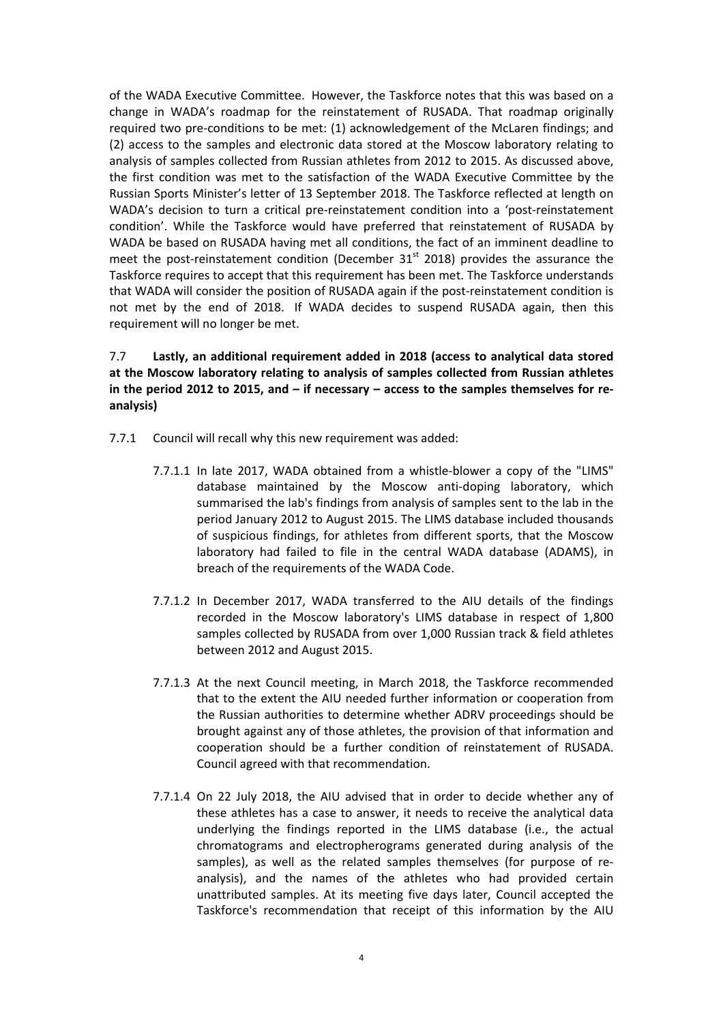of the WADA Executive Committee. However, the Taskforce notes that this was based on a change in WADA's roadmap for the reinstatement of RUSADA. That roadmap originally required two pre-conditions to be met: (1) acknowledgement of the McLaren findings; and (2) access to the samples and electronic data stored at the Moscow laboratory relating to analysis of samples collected from Russian athletes from 2012 to 2015. As discussed above, the first condition was met to the satisfaction of the WADA Executive Committee by the Russian Sports Minister's letter of 13 September 2018. The Taskforce reflected at length on WADA's decision to turn a critical pre-reinstatement condition into a 'post-reinstatement condition'. While the Taskforce would have preferred that reinstatement of RUSADA by WADA be based on RUSADA having met all conditions, the fact of an imminent deadline to meet the post-reinstatement condition (December  $31<sup>st</sup>$  2018) provides the assurance the Taskforce requires to accept that this requirement has been met. The Taskforce understands that WADA will consider the position of RUSADA again if the post-reinstatement condition is not met by the end of 2018. If WADA decides to suspend RUSADA again, then this requirement will no longer be met.

7.7 **Lastly, an additional requirement added in 2018 (access to analytical data stored** at the Moscow laboratory relating to analysis of samples collected from Russian athletes in the period 2012 to 2015, and  $-$  if necessary  $-$  access to the samples themselves for re**analysis)**

- 7.7.1 Council will recall why this new requirement was added:
	- 7.7.1.1 In late 2017, WADA obtained from a whistle-blower a copy of the "LIMS" database maintained by the Moscow anti-doping laboratory, which summarised the lab's findings from analysis of samples sent to the lab in the period January 2012 to August 2015. The LIMS database included thousands of suspicious findings, for athletes from different sports, that the Moscow laboratory had failed to file in the central WADA database (ADAMS), in breach of the requirements of the WADA Code.
	- 7.7.1.2 In December 2017, WADA transferred to the AIU details of the findings recorded in the Moscow laboratory's LIMS database in respect of 1,800 samples collected by RUSADA from over 1,000 Russian track & field athletes between 2012 and August 2015.
	- 7.7.1.3 At the next Council meeting, in March 2018, the Taskforce recommended that to the extent the AIU needed further information or cooperation from the Russian authorities to determine whether ADRV proceedings should be brought against any of those athletes, the provision of that information and cooperation should be a further condition of reinstatement of RUSADA. Council agreed with that recommendation.
	- 7.7.1.4 On 22 July 2018, the AIU advised that in order to decide whether any of these athletes has a case to answer, it needs to receive the analytical data underlying the findings reported in the LIMS database (i.e., the actual chromatograms and electropherograms generated during analysis of the samples), as well as the related samples themselves (for purpose of reanalysis), and the names of the athletes who had provided certain unattributed samples. At its meeting five days later, Council accepted the Taskforce's recommendation that receipt of this information by the AIU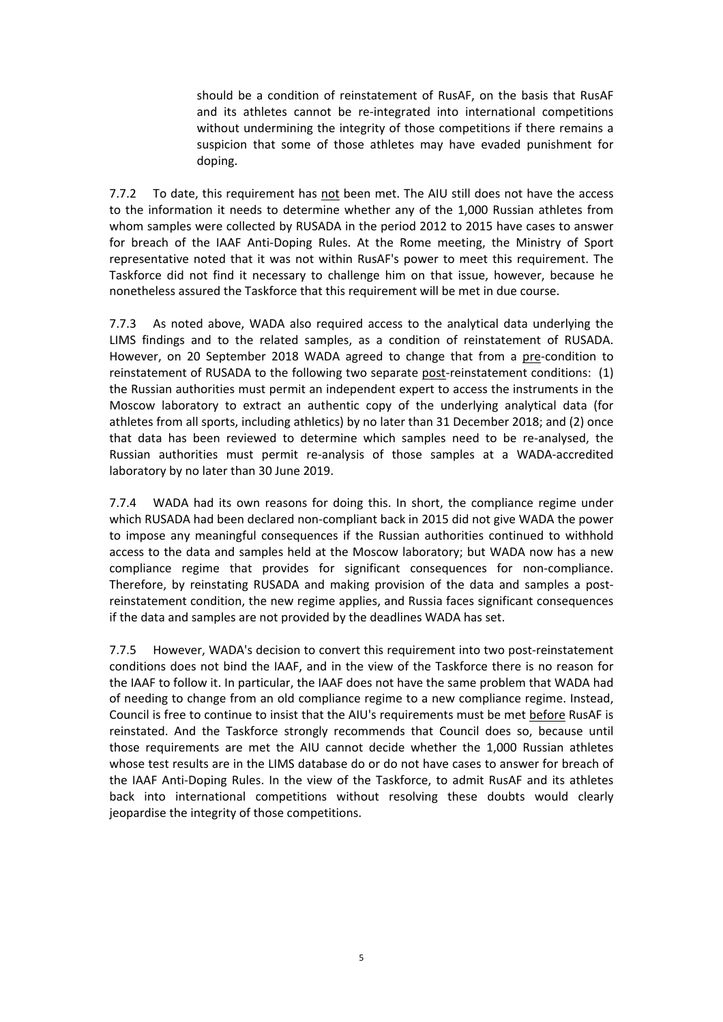should be a condition of reinstatement of RusAF, on the basis that RusAF and its athletes cannot be re-integrated into international competitions without undermining the integrity of those competitions if there remains a suspicion that some of those athletes may have evaded punishment for doping.

7.7.2 To date, this requirement has not been met. The AIU still does not have the access to the information it needs to determine whether any of the 1,000 Russian athletes from whom samples were collected by RUSADA in the period 2012 to 2015 have cases to answer for breach of the IAAF Anti-Doping Rules. At the Rome meeting, the Ministry of Sport representative noted that it was not within RusAF's power to meet this requirement. The Taskforce did not find it necessary to challenge him on that issue, however, because he nonetheless assured the Taskforce that this requirement will be met in due course.

7.7.3 As noted above, WADA also required access to the analytical data underlying the LIMS findings and to the related samples, as a condition of reinstatement of RUSADA. However, on 20 September 2018 WADA agreed to change that from a pre-condition to reinstatement of RUSADA to the following two separate post-reinstatement conditions: (1) the Russian authorities must permit an independent expert to access the instruments in the Moscow laboratory to extract an authentic copy of the underlying analytical data (for athletes from all sports, including athletics) by no later than 31 December 2018; and (2) once that data has been reviewed to determine which samples need to be re-analysed, the Russian authorities must permit re-analysis of those samples at a WADA-accredited laboratory by no later than 30 June 2019.

7.7.4 WADA had its own reasons for doing this. In short, the compliance regime under which RUSADA had been declared non-compliant back in 2015 did not give WADA the power to impose any meaningful consequences if the Russian authorities continued to withhold access to the data and samples held at the Moscow laboratory; but WADA now has a new compliance regime that provides for significant consequences for non-compliance. Therefore, by reinstating RUSADA and making provision of the data and samples a postreinstatement condition, the new regime applies, and Russia faces significant consequences if the data and samples are not provided by the deadlines WADA has set.

7.7.5 However, WADA's decision to convert this requirement into two post-reinstatement conditions does not bind the IAAF, and in the view of the Taskforce there is no reason for the IAAF to follow it. In particular, the IAAF does not have the same problem that WADA had of needing to change from an old compliance regime to a new compliance regime. Instead, Council is free to continue to insist that the AIU's requirements must be met before RusAF is reinstated. And the Taskforce strongly recommends that Council does so, because until those requirements are met the AIU cannot decide whether the 1,000 Russian athletes whose test results are in the LIMS database do or do not have cases to answer for breach of the IAAF Anti-Doping Rules. In the view of the Taskforce, to admit RusAF and its athletes back into international competitions without resolving these doubts would clearly jeopardise the integrity of those competitions.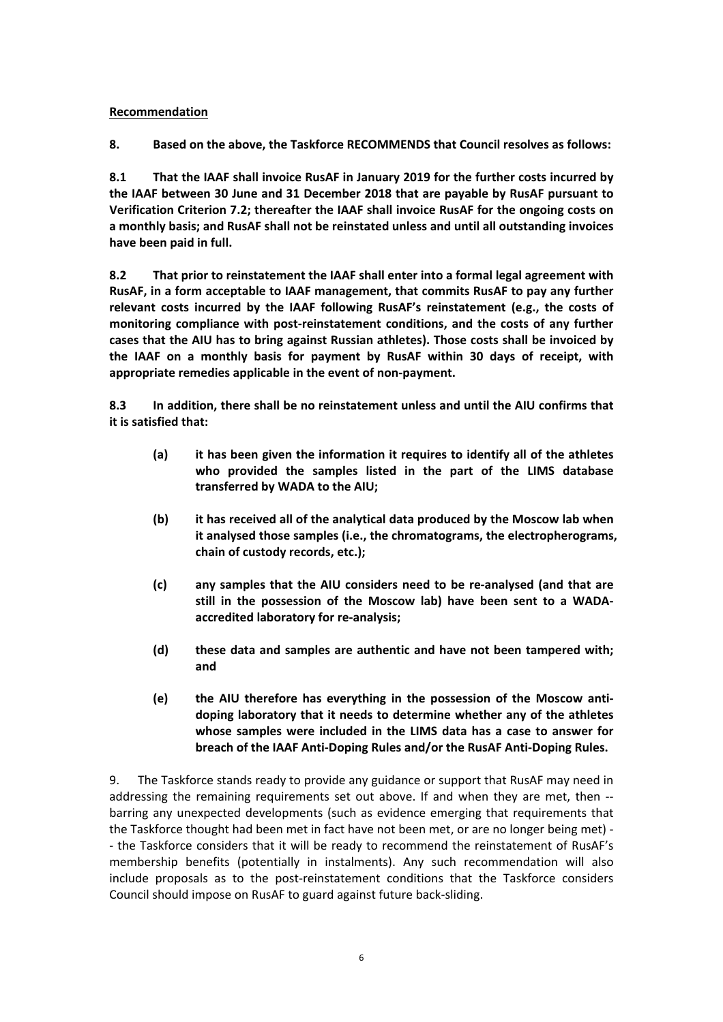### **Recommendation**

**8.** Based on the above, the Taskforce RECOMMENDS that Council resolves as follows:

**8.1** That the IAAF shall invoice RusAF in January 2019 for the further costs incurred by the IAAF between 30 June and 31 December 2018 that are payable by RusAF pursuant to **Verification Criterion 7.2: thereafter the IAAF shall invoice RusAF for the ongoing costs on** a monthly basis; and RusAF shall not be reinstated unless and until all outstanding invoices have been paid in full.

**8.2 That prior to reinstatement the IAAF shall enter into a formal legal agreement with** RusAF, in a form acceptable to IAAF management, that commits RusAF to pay any further relevant costs incurred by the IAAF following RusAF's reinstatement (e.g., the costs of monitoring compliance with post-reinstatement conditions, and the costs of any further cases that the AIU has to bring against Russian athletes). Those costs shall be invoiced by the IAAF on a monthly basis for payment by RusAF within 30 days of receipt, with appropriate remedies applicable in the event of non-payment.

**8.3** In addition, there shall be no reinstatement unless and until the AIU confirms that **it is satisfied that:** 

- (a) it has been given the information it requires to identify all of the athletes who provided the samples listed in the part of the LIMS database transferred by WADA to the AIU;
- **(b)** it has received all of the analytical data produced by the Moscow lab when it analysed those samples (i.e., the chromatograms, the electropherograms, chain of custody records, etc.):
- **(c) any samples that the AIU considers need to be re-analysed (and that are**  still in the possession of the Moscow lab) have been sent to a WADA**accredited laboratory for re-analysis;**
- (d) these data and samples are authentic and have not been tampered with; **and**
- (e) the AIU therefore has everything in the possession of the Moscow antidoping laboratory that it needs to determine whether any of the athletes whose samples were included in the LIMS data has a case to answer for breach of the IAAF Anti-Doping Rules and/or the RusAF Anti-Doping Rules.

9. The Taskforce stands ready to provide any guidance or support that RusAF may need in addressing the remaining requirements set out above. If and when they are met, then -barring any unexpected developments (such as evidence emerging that requirements that the Taskforce thought had been met in fact have not been met, or are no longer being met) -- the Taskforce considers that it will be ready to recommend the reinstatement of RusAF's membership benefits (potentially in instalments). Any such recommendation will also include proposals as to the post-reinstatement conditions that the Taskforce considers Council should impose on RusAF to guard against future back-sliding.